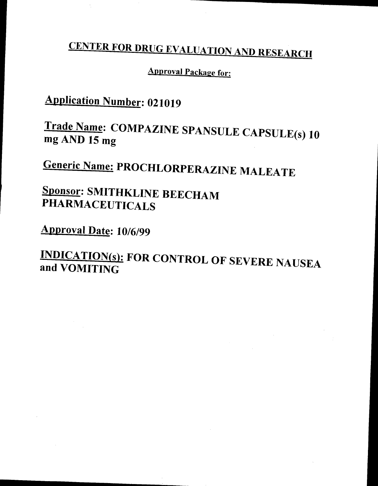### **Approval Package for:**

### **Application Number: 021019**

Trade Name: COMPAZINE SPANSULE CAPSULE(s) 10 mg AND 15 mg

Generic Name: PROCHLORPERAZINE MALEATE

**Sponsor: SMITHKLINE BEECHAM PHARMACEUTICALS** 

**Approval Date: 10/6/99** 

**INDICATION(s): FOR CONTROL OF SEVERE NAUSEA** and VOMITING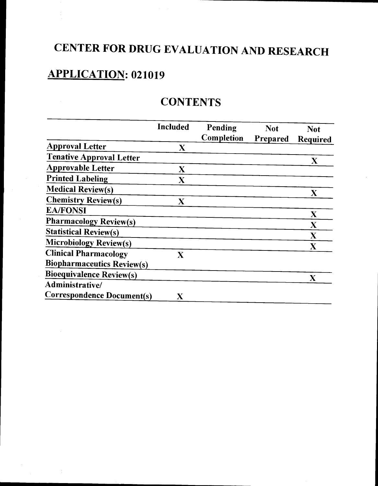### **APPLICATION: 021019**

### **CONTENTS**

|                                   | <b>Included</b> | Pending    | <b>Not</b> | <b>Not</b>  |
|-----------------------------------|-----------------|------------|------------|-------------|
|                                   |                 | Completion | Prepared   | Required    |
| <b>Approval Letter</b>            | X               |            |            |             |
| <b>Tenative Approval Letter</b>   |                 |            |            | $\mathbf X$ |
| <b>Approvable Letter</b>          | X               |            |            |             |
| <b>Printed Labeling</b>           | $\mathbf{X}$    |            |            |             |
| <b>Medical Review(s)</b>          |                 |            |            | $\mathbf X$ |
| <b>Chemistry Review(s)</b>        | X               |            |            |             |
| <b>EA/FONSI</b>                   |                 |            |            | X           |
| <b>Pharmacology Review(s)</b>     |                 |            |            | $\mathbf X$ |
| <b>Statistical Review(s)</b>      |                 |            |            | $\mathbf X$ |
| <b>Microbiology Review(s)</b>     |                 |            |            | $\mathbf X$ |
| <b>Clinical Pharmacology</b>      | $\mathbf X$     |            |            |             |
| <b>Biopharmaceutics Review(s)</b> |                 |            |            |             |
| <b>Bioequivalence Review(s)</b>   |                 |            |            | $\mathbf X$ |
| Administrative/                   |                 |            |            |             |
| <b>Correspondence Document(s)</b> | $\mathbf X$     |            |            |             |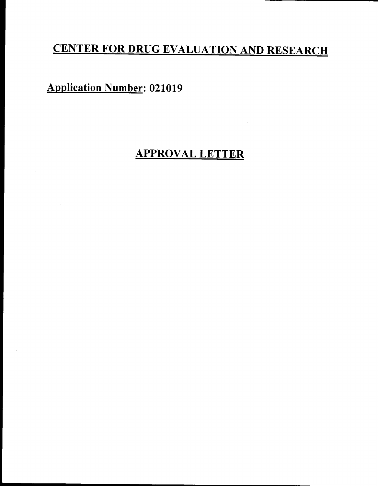### **Application Number: 021019**

### **APPROVAL LETTER**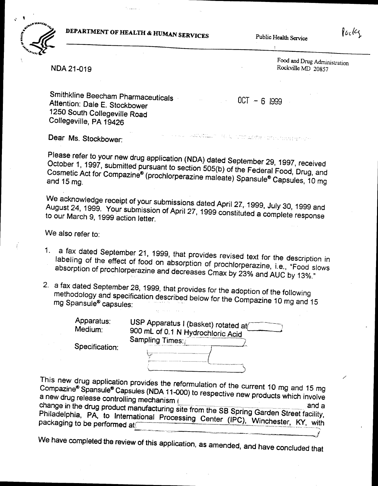

### DEPARTMENT OF HEALTH & HUMAN SERVICES

NDA 21-019

Food and Drug Administration Rockville MD 20857

Smithkline Beecham Pharmaceuticals Attention: Dale E. Stockbower 1250 South Collegeville Road Collegeville, PA 19426

 $0C$ T – 6 1999

serve and the service of the content of the content of the content of the content of the content of the content Dear Ms. Stockbower:

Please refer to your new drug application (NDA) dated September 29, 1997, received October 1, 1997, submitted pursuant to section 505(b) of the Federal Food, Drug, and Cosmetic Act for Compazine® (prochlorperazine maleate) Spansule® Capsules, 10 mg and 15 mg.

We acknowledge receipt of your submissions dated April 27, 1999, July 30, 1999 and August 24, 1999. Your submission of April 27, 1999 constituted a complete response to our March 9, 1999 action letter.

We also refer to:

- 1. a fax dated September 21, 1999, that provides revised text for the description in labeling of the effect of food on absorption of prochlorperazine, i.e., "Food slows absorption of prochlorperazine and decreases Cmax by 23% and AUC by 13%."
- 2. a fax dated September 28, 1999, that provides for the adoption of the following methodology and specification described below for the Compazine 10 mg and 15 mg Spansule® capsules:

| Apparatus:<br>Medium: | USP Apparatus I (basket) rotated at<br>900 mL of 0.1 N Hydrochloric Acid |
|-----------------------|--------------------------------------------------------------------------|
| Specification:        | Sampling Times:                                                          |
|                       |                                                                          |

This new drug application provides the reformulation of the current 10 mg and 15 mg Compazine® Spansule® Capsules (NDA 11-000) to respective new products which involve a new drug release controlling mechanism ( change in the drug product manufacturing site from the SB Spring Garden Street facility, and a Philadelphia, PA, to International Processing Center (IPC), Winchester, KY, with packaging to be performed at

We have completed the review of this application, as amended, and have concluded that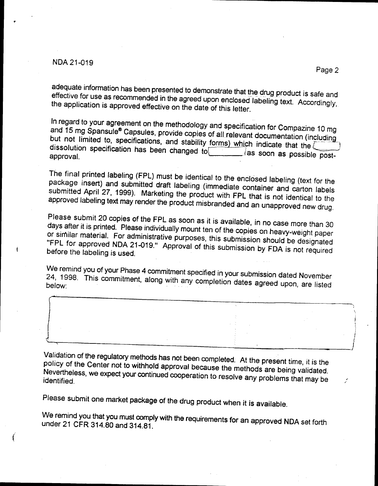#### NDA 21-019

adequate information has been presented to demonstrate that the drug product is safe and effective for use as recommended in the agreed upon enclosed labeling text. Accordingly, the application is approved effective on the date of this letter.

In regard to your agreement on the methodology and specification for Compazine 10 mg and 15 mg Spansule<sup>®</sup> Capsules, provide copies of all relevant documentation (including but not limited to, specifications, and stability forms) which indicate that the dissolution specification has been changed to las soon as possible postapproval.

The final printed labeling (FPL) must be identical to the enclosed labeling (text for the package insert) and submitted draft labeling (immediate container and carton labels submitted April 27, 1999). Marketing the product with FPL that is not identical to the approved labeling text may render the product misbranded and an unapproved new drug.

Please submit 20 copies of the FPL as soon as it is available, in no case more than 30 days after it is printed. Please individually mount ten of the copies on heavy-weight paper or similar material. For administrative purposes, this submission should be designated "FPL for approved NDA 21-019." Approval of this submission by FDA is not required before the labeling is used.

We remind you of your Phase 4 commitment specified in your submission dated November 24, 1998. This commitment, along with any completion dates agreed upon, are listed

Validation of the regulatory methods has not been completed. At the present time, it is the policy of the Center not to withhold approval because the methods are being validated. Nevertheless, we expect your continued cooperation to resolve any problems that may be

Please submit one market package of the drug product when it is available.

We remind you that you must comply with the requirements for an approved NDA set forth under 21 CFR 314.80 and 314.81.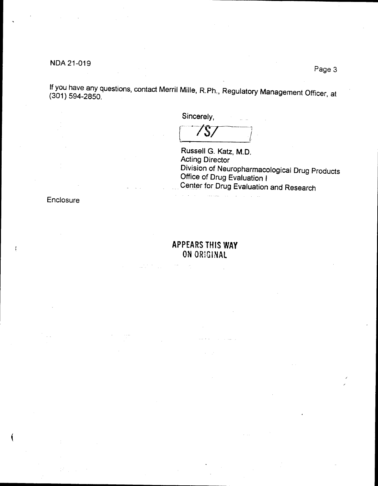If you have any questions, contact Merril Mille, R.Ph., Regulatory Management Officer, at  $(301) 594 - 2850.$ 

Sincerely,

7\$7

Russell G. Katz, M.D. **Acting Director** Division of Neuropharmacological Drug Products Office of Drug Evaluation I Center for Drug Evaluation and Research

Enclosure

#### **APPEARS THIS WAY** ON ORIGINAL

Page 3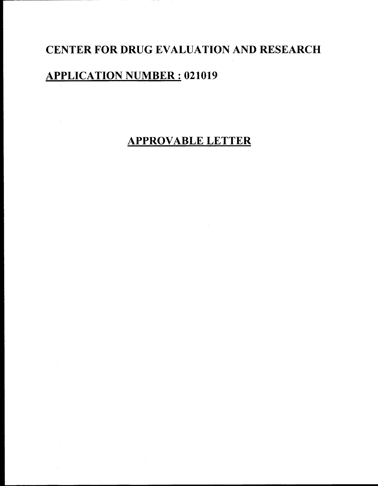### **APPLICATION NUMBER: 021019**

### **APPROVABLE LETTER**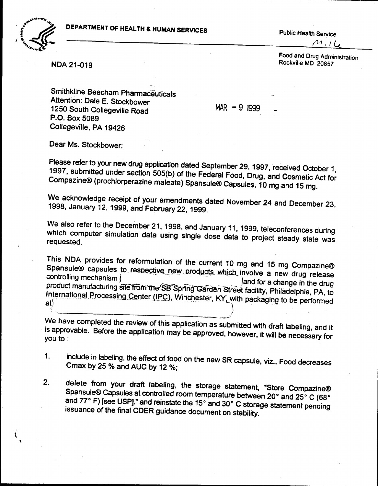



**Public Health Service**  $\mathcal{M}, \mathcal{H}$ 

Food and Drug Administration Rockville MD 20857

**NDA 21-019** 

Smithkline Beecham Pharmaceuticals Attention: Dale E. Stockbower 1250 South Collegeville Road P.O. Box 5089 Collegeville, PA 19426

MAR - 9 1999

Dear Ms. Stockbower:

Please refer to your new drug application dated September 29, 1997, received October 1, 1997, submitted under section 505(b) of the Federal Food, Drug, and Cosmetic Act for Compazine® (prochlorperazine maleate) Spansule® Capsules, 10 mg and 15 mg.

We acknowledge receipt of your amendments dated November 24 and December 23, 1998, January 12, 1999, and February 22, 1999.

We also refer to the December 21, 1998, and January 11, 1999, teleconferences during which computer simulation data using single dose data to project steady state was requested.

This NDA provides for reformulation of the current 10 mg and 15 mg Compazine® Spansule® capsules to respective new products which involve a new drug release controlling mechanism ( and for a change in the drug product manufacturing site from the SB Spring Garden Street facility, Philadelphia, PA, to International Processing Center (IPC), Winchester, KY, with packaging to be performed at∖

We have completed the review of this application as submitted with draft labeling, and it is approvable. Before the application may be approved, however, it will be necessary for you to:

- include in labeling, the effect of food on the new SR capsule, viz., Food decreases  $1.$ Cmax by 25 % and AUC by 12 %;
- delete from your draft labeling, the storage statement, "Store Compazine®  $2.$ Spansule® Capsules at controlled room temperature between 20° and 25° C (68° and 77° F) [see USP]." and reinstate the 15° and 30° C storage statement pending issuance of the final CDER guidance document on stability.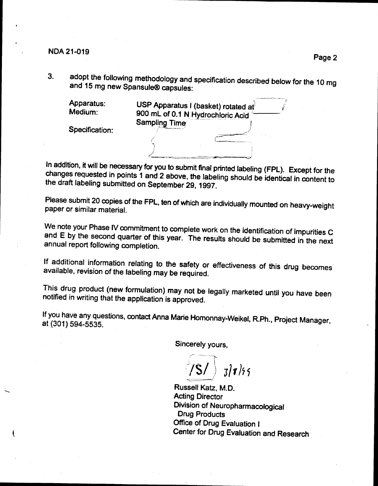$3<sub>1</sub>$ adopt the following methodology and specification described below for the 10 mg and 15 mg new Spansule® capsules:

| <b>Apparatus:</b><br>Medium: | USP Apparatus I (basket) rotated at<br>900 mL of 0.1 N Hydrochloric Acid |  |
|------------------------------|--------------------------------------------------------------------------|--|
|                              | <b>Sampling Time</b>                                                     |  |
| Specification:               |                                                                          |  |
|                              |                                                                          |  |

In addition, it will be necessary for you to submit final printed labeling (FPL). Except for the changes requested in points 1 and 2 above, the labeling should be identical in content to the draft labeling submitted on September 29, 1997.

Please submit 20 copies of the FPL, ten of which are individually mounted on heavy-weight paper or similar material.

We note your Phase IV commitment to complete work on the identification of impurities C and E by the second quarter of this year. The results should be submitted in the next annual report following completion.

If additional information relating to the safety or effectiveness of this drug becomes available, revision of the labeling may be required.

This drug product (new formulation) may not be legally marketed until you have been notified in writing that the application is approved.

If you have any questions, contact Anna Marie Homonnay-Weikel, R.Ph., Project Manager, at (301) 594-5535.

Sincerely yours,

 $318/99$ 

Russell Katz, M.D. **Acting Director** Division of Neuropharmacological **Drug Products** Office of Drug Evaluation I **Center for Drug Evaluation and Research**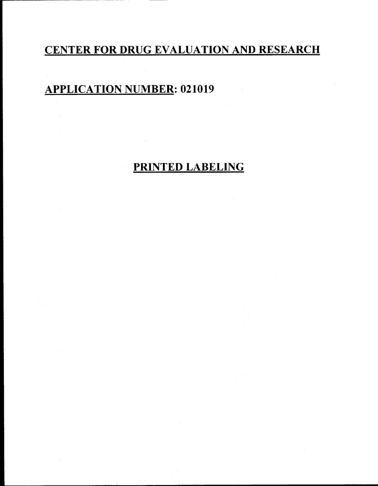### **APPLICATION NUMBER: 021019**

 $\sim$ 

### **PRINTED LABELING**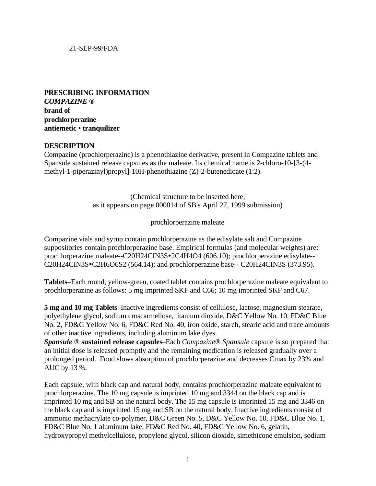21-SEP-99/FDA

#### **PRESCRIBING INFORMATION** *COMPAZINE* **® brand of prochlorperazine antiemetic • tranquilizer**

#### **DESCRIPTION**

Compazine (prochlorperazine) is a phenothiazine derivative, present in Compazine tablets and Spansule sustained release capsules as the maleate. Its chemical name is 2-chloro-10-[3-(4 methyl-1-piperazinyl)propyl]-10H-phenothiazine (Z)-2-butenedioate (1:2).

> (Chemical structure to be inserted here; as it appears on page 000014 of SB's April 27, 1999 submission)

> > prochlorperazine maleate

Compazine vials and syrup contain prochlorperazine as the edisylate salt and Compazine suppositories contain prochlorperazine base. Empirical formulas (and molecular weights) are: prochlorperazine maleate--C20H24CIN3S•2C4H4O4 (606.10); prochlorperazine edisylate-- $C20H24CIN3S<sup>•</sup>C2H6O6S2$  (564.14); and prochlorperazine base-- C20H24CIN3S (373.95).

**Tablets**–Each round, yellow-green, coated tablet contains prochlorperazine maleate equivalent to prochlorperazine as follows: 5 mg imprinted SKF and C66; 10 mg imprinted SKF and C67.

**5 mg and 10 mg Tablets**–Inactive ingredients consist of cellulose, lactose, magnesium stearate, polyethylene glycol, sodium croscarmellose, titanium dioxide, D&C Yellow No. 10, FD&C Blue No. 2, FD&C Yellow No. 6, FD&C Red No. 40, iron oxide, starch, stearic acid and trace amounts of other inactive ingredients, including aluminum lake dyes.

*Spansule* ® **sustained release capsules**–Each *Compazine*® *Spansule* capsule is so prepared that an initial dose is released promptly and the remaining medication is released gradually over a prolonged period. Food slows absorption of prochlorperazine and decreases Cmax by 23% and AUC by 13 %.

Each capsule, with black cap and natural body, contains prochlorperazine maleate equivalent to prochlorperazine. The 10 mg capsule is imprinted 10 mg and 3344 on the black cap and is imprinted 10 mg and SB on the natural body. The 15 mg capsule is imprinted 15 mg and 3346 on the black cap and is imprinted 15 mg and SB on the natural body. Inactive ingredients consist of ammonio methacrylate co-polymer, D&C Green No. 5, D&C Yellow No. 10, FD&C Blue No. 1, FD&C Blue No. 1 aluminum lake, FD&C Red No. 40, FD&C Yellow No. 6, gelatin, hydroxypropyl methylcellulose, propylene glycol, silicon dioxide, simethicone emulsion, sodium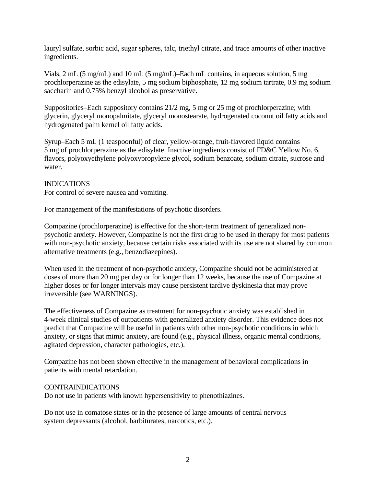lauryl sulfate, sorbic acid, sugar spheres, talc, triethyl citrate, and trace amounts of other inactive ingredients.

Vials, 2 mL (5 mg/mL) and 10 mL (5 mg/mL)–Each mL contains, in aqueous solution, 5 mg prochlorperazine as the edisylate, 5 mg sodium biphosphate, 12 mg sodium tartrate, 0.9 mg sodium saccharin and 0.75% benzyl alcohol as preservative.

Suppositories–Each suppository contains 21/2 mg, 5 mg or 25 mg of prochlorperazine; with glycerin, glyceryl monopalmitate, glyceryl monostearate, hydrogenated coconut oil fatty acids and hydrogenated palm kernel oil fatty acids.

Syrup–Each 5 mL (1 teaspoonful) of clear, yellow-orange, fruit-flavored liquid contains 5 mg of prochlorperazine as the edisylate. Inactive ingredients consist of FD&C Yellow No. 6, flavors, polyoxyethylene polyoxypropylene glycol, sodium benzoate, sodium citrate, sucrose and water.

#### INDICATIONS

For control of severe nausea and vomiting.

For management of the manifestations of psychotic disorders.

Compazine (prochlorperazine) is effective for the short-term treatment of generalized nonpsychotic anxiety. However, Compazine is not the first drug to be used in therapy for most patients with non-psychotic anxiety, because certain risks associated with its use are not shared by common alternative treatments (e.g., benzodiazepines).

When used in the treatment of non-psychotic anxiety, Compazine should not be administered at doses of more than 20 mg per day or for longer than 12 weeks, because the use of Compazine at higher doses or for longer intervals may cause persistent tardive dyskinesia that may prove irreversible (see WARNINGS).

The effectiveness of Compazine as treatment for non-psychotic anxiety was established in 4-week clinical studies of outpatients with generalized anxiety disorder. This evidence does not predict that Compazine will be useful in patients with other non-psychotic conditions in which anxiety, or signs that mimic anxiety, are found (e.g., physical illness, organic mental conditions, agitated depression, character pathologies, etc.).

Compazine has not been shown effective in the management of behavioral complications in patients with mental retardation.

#### CONTRAINDICATIONS

Do not use in patients with known hypersensitivity to phenothiazines.

Do not use in comatose states or in the presence of large amounts of central nervous system depressants (alcohol, barbiturates, narcotics, etc.).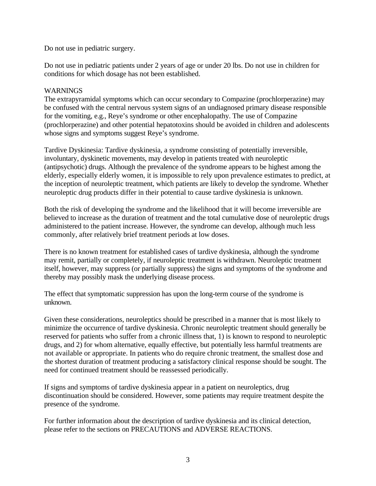Do not use in pediatric surgery.

Do not use in pediatric patients under 2 years of age or under 20 lbs. Do not use in children for conditions for which dosage has not been established.

#### WARNINGS

The extrapyramidal symptoms which can occur secondary to Compazine (prochlorperazine) may be confused with the central nervous system signs of an undiagnosed primary disease responsible for the vomiting, e.g., Reye's syndrome or other encephalopathy. The use of Compazine (prochlorperazine) and other potential hepatotoxins should be avoided in children and adolescents whose signs and symptoms suggest Reye's syndrome.

Tardive Dyskinesia: Tardive dyskinesia, a syndrome consisting of potentially irreversible, involuntary, dyskinetic movements, may develop in patients treated with neuroleptic (antipsychotic) drugs. Although the prevalence of the syndrome appears to be highest among the elderly, especially elderly women, it is impossible to rely upon prevalence estimates to predict, at the inception of neuroleptic treatment, which patients are likely to develop the syndrome. Whether neuroleptic drug products differ in their potential to cause tardive dyskinesia is unknown.

Both the risk of developing the syndrome and the likelihood that it will become irreversible are believed to increase as the duration of treatment and the total cumulative dose of neuroleptic drugs administered to the patient increase. However, the syndrome can develop, although much less commonly, after relatively brief treatment periods at low doses.

There is no known treatment for established cases of tardive dyskinesia, although the syndrome may remit, partially or completely, if neuroleptic treatment is withdrawn. Neuroleptic treatment itself, however, may suppress (or partially suppress) the signs and symptoms of the syndrome and thereby may possibly mask the underlying disease process.

The effect that symptomatic suppression has upon the long-term course of the syndrome is unknown.

Given these considerations, neuroleptics should be prescribed in a manner that is most likely to minimize the occurrence of tardive dyskinesia. Chronic neuroleptic treatment should generally be reserved for patients who suffer from a chronic illness that, 1) is known to respond to neuroleptic drugs, and 2) for whom alternative, equally effective, but potentially less harmful treatments are not available or appropriate. In patients who do require chronic treatment, the smallest dose and the shortest duration of treatment producing a satisfactory clinical response should be sought. The need for continued treatment should be reassessed periodically.

If signs and symptoms of tardive dyskinesia appear in a patient on neuroleptics, drug discontinuation should be considered. However, some patients may require treatment despite the presence of the syndrome.

For further information about the description of tardive dyskinesia and its clinical detection, please refer to the sections on PRECAUTIONS and ADVERSE REACTIONS.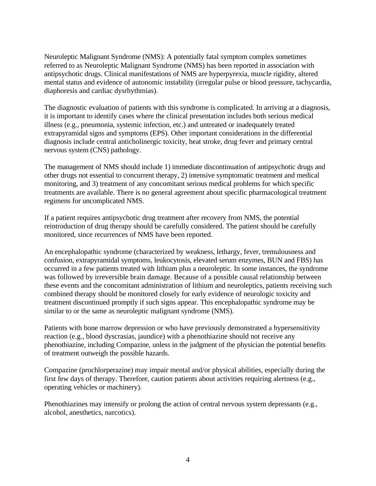Neuroleptic Malignant Syndrome (NMS): A potentially fatal symptom complex sometimes referred to as Neuroleptic Malignant Syndrome (NMS) has been reported in association with antipsychotic drugs. Clinical manifestations of NMS are hyperpyrexia, muscle rigidity, altered mental status and evidence of autonomic instability (irregular pulse or blood pressure, tachycardia, diaphoresis and cardiac dysrhythmias).

The diagnostic evaluation of patients with this syndrome is complicated. In arriving at a diagnosis, it is important to identify cases where the clinical presentation includes both serious medical illness (e.g., pneumonia, systemic infection, etc.) and untreated or inadequately treated extrapyramidal signs and symptoms (EPS). Other important considerations in the differential diagnosis include central anticholinergic toxicity, heat stroke, drug fever and primary central nervous system (CNS) pathology.

The management of NMS should include 1) immediate discontinuation of antipsychotic drugs and other drugs not essential to concurrent therapy, 2) intensive symptomatic treatment and medical monitoring, and 3) treatment of any concomitant serious medical problems for which specific treatments are available. There is no general agreement about specific pharmacological treatment regimens for uncomplicated NMS.

If a patient requires antipsychotic drug treatment after recovery from NMS, the potential reintroduction of drug therapy should be carefully considered. The patient should be carefully monitored, since recurrences of NMS have been reported.

An encephalopathic syndrome (characterized by weakness, lethargy, fever, tremulousness and confusion, extrapyramidal symptoms, leukocytosis, elevated serum enzymes, BUN and FBS) has occurred in a few patients treated with lithium plus a neuroleptic. In some instances, the syndrome was followed by irreversible brain damage. Because of a possible causal relationship between these events and the concomitant administration of lithium and neuroleptics, patients receiving such combined therapy should be monitored closely for early evidence of neurologic toxicity and treatment discontinued promptly if such signs appear. This encephalopathic syndrome may be similar to or the same as neuroleptic malignant syndrome (NMS).

Patients with bone marrow depression or who have previously demonstrated a hypersensitivity reaction (e.g., blood dyscrasias, jaundice) with a phenothiazine should not receive any phenothiazine, including Compazine, unless in the judgment of the physician the potential benefits of treatment outweigh the possible hazards.

Compazine (prochlorperazine) may impair mental and/or physical abilities, especially during the first few days of therapy. Therefore, caution patients about activities requiring alertness (e.g., operating vehicles or machinery).

Phenothiazines may intensify or prolong the action of central nervous system depressants (e.g., alcohol, anesthetics, narcotics).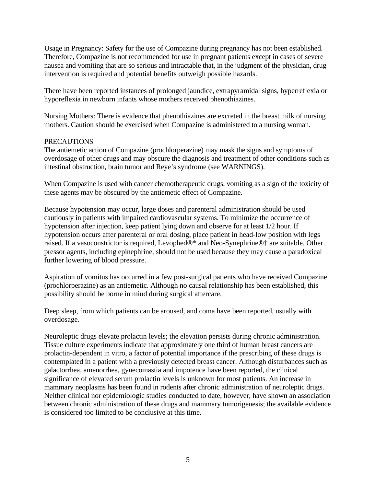Usage in Pregnancy: Safety for the use of Compazine during pregnancy has not been established. Therefore, Compazine is not recommended for use in pregnant patients except in cases of severe nausea and vomiting that are so serious and intractable that, in the judgment of the physician, drug intervention is required and potential benefits outweigh possible hazards.

There have been reported instances of prolonged jaundice, extrapyramidal signs, hyperreflexia or hyporeflexia in newborn infants whose mothers received phenothiazines.

Nursing Mothers: There is evidence that phenothiazines are excreted in the breast milk of nursing mothers. Caution should be exercised when Compazine is administered to a nursing woman.

#### PRECAUTIONS

The antiemetic action of Compazine (prochlorperazine) may mask the signs and symptoms of overdosage of other drugs and may obscure the diagnosis and treatment of other conditions such as intestinal obstruction, brain tumor and Reye's syndrome (see WARNINGS).

When Compazine is used with cancer chemotherapeutic drugs, vomiting as a sign of the toxicity of these agents may be obscured by the antiemetic effect of Compazine.

Because hypotension may occur, large doses and parenteral administration should be used cautiously in patients with impaired cardiovascular systems. To minimize the occurrence of hypotension after injection, keep patient lying down and observe for at least 1/2 hour. If hypotension occurs after parenteral or oral dosing, place patient in head-low position with legs raised. If a vasoconstrictor is required, Levophed®\* and Neo-Synephrine®† are suitable. Other pressor agents, including epinephrine, should not be used because they may cause a paradoxical further lowering of blood pressure.

Aspiration of vomitus has occurred in a few post-surgical patients who have received Compazine (prochlorperazine) as an antiemetic. Although no causal relationship has been established, this possibility should be borne in mind during surgical aftercare.

Deep sleep, from which patients can be aroused, and coma have been reported, usually with overdosage.

Neuroleptic drugs elevate prolactin levels; the elevation persists during chronic administration. Tissue culture experiments indicate that approximately one third of human breast cancers are prolactin-dependent in vitro, a factor of potential importance if the prescribing of these drugs is contemplated in a patient with a previously detected breast cancer. Although disturbances such as galactorrhea, amenorrhea, gynecomastia and impotence have been reported, the clinical significance of elevated serum prolactin levels is unknown for most patients. An increase in mammary neoplasms has been found in rodents after chronic administration of neuroleptic drugs. Neither clinical nor epidemiologic studies conducted to date, however, have shown an association between chronic administration of these drugs and mammary tumorigenesis; the available evidence is considered too limited to be conclusive at this time.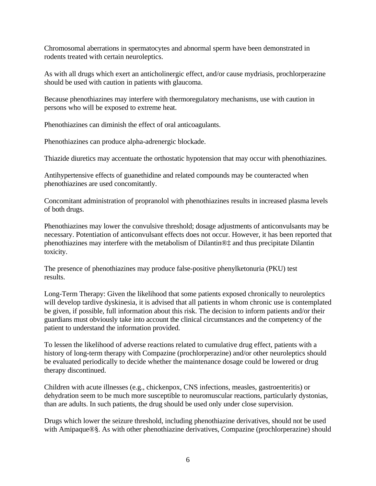Chromosomal aberrations in spermatocytes and abnormal sperm have been demonstrated in rodents treated with certain neuroleptics.

As with all drugs which exert an anticholinergic effect, and/or cause mydriasis, prochlorperazine should be used with caution in patients with glaucoma.

Because phenothiazines may interfere with thermoregulatory mechanisms, use with caution in persons who will be exposed to extreme heat.

Phenothiazines can diminish the effect of oral anticoagulants.

Phenothiazines can produce alpha-adrenergic blockade.

Thiazide diuretics may accentuate the orthostatic hypotension that may occur with phenothiazines.

Antihypertensive effects of guanethidine and related compounds may be counteracted when phenothiazines are used concomitantly.

Concomitant administration of propranolol with phenothiazines results in increased plasma levels of both drugs.

Phenothiazines may lower the convulsive threshold; dosage adjustments of anticonvulsants may be necessary. Potentiation of anticonvulsant effects does not occur. However, it has been reported that phenothiazines may interfere with the metabolism of Dilantin®‡ and thus precipitate Dilantin toxicity.

The presence of phenothiazines may produce false-positive phenylketonuria (PKU) test results.

Long-Term Therapy: Given the likelihood that some patients exposed chronically to neuroleptics will develop tardive dyskinesia, it is advised that all patients in whom chronic use is contemplated be given, if possible, full information about this risk. The decision to inform patients and/or their guardians must obviously take into account the clinical circumstances and the competency of the patient to understand the information provided.

To lessen the likelihood of adverse reactions related to cumulative drug effect, patients with a history of long-term therapy with Compazine (prochlorperazine) and/or other neuroleptics should be evaluated periodically to decide whether the maintenance dosage could be lowered or drug therapy discontinued.

Children with acute illnesses (e.g., chickenpox, CNS infections, measles, gastroenteritis) or dehydration seem to be much more susceptible to neuromuscular reactions, particularly dystonias, than are adults. In such patients, the drug should be used only under close supervision.

Drugs which lower the seizure threshold, including phenothiazine derivatives, should not be used with Amipaque®§. As with other phenothiazine derivatives, Compazine (prochlorperazine) should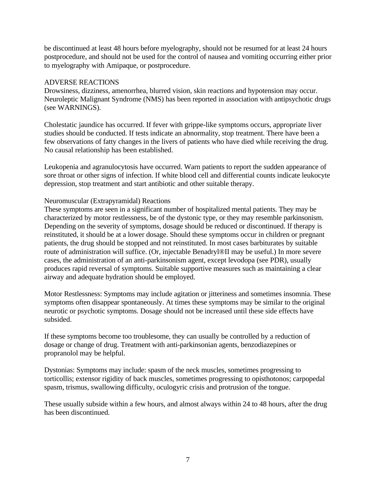be discontinued at least 48 hours before myelography, should not be resumed for at least 24 hours postprocedure, and should not be used for the control of nausea and vomiting occurring either prior to myelography with Amipaque, or postprocedure.

#### ADVERSE REACTIONS

Drowsiness, dizziness, amenorrhea, blurred vision, skin reactions and hypotension may occur. Neuroleptic Malignant Syndrome (NMS) has been reported in association with antipsychotic drugs (see WARNINGS).

Cholestatic jaundice has occurred. If fever with grippe-like symptoms occurs, appropriate liver studies should be conducted. If tests indicate an abnormality, stop treatment. There have been a few observations of fatty changes in the livers of patients who have died while receiving the drug. No causal relationship has been established.

Leukopenia and agranulocytosis have occurred. Warn patients to report the sudden appearance of sore throat or other signs of infection. If white blood cell and differential counts indicate leukocyte depression, stop treatment and start antibiotic and other suitable therapy.

#### Neuromuscular (Extrapyramidal) Reactions

These symptoms are seen in a significant number of hospitalized mental patients. They may be characterized by motor restlessness, be of the dystonic type, or they may resemble parkinsonism. Depending on the severity of symptoms, dosage should be reduced or discontinued. If therapy is reinstituted, it should be at a lower dosage. Should these symptoms occur in children or pregnant patients, the drug should be stopped and not reinstituted. In most cases barbiturates by suitable route of administration will suffice. (Or, injectable Benadryl®II may be useful.) In more severe cases, the administration of an anti-parkinsonism agent, except levodopa (see PDR), usually produces rapid reversal of symptoms. Suitable supportive measures such as maintaining a clear airway and adequate hydration should be employed.

Motor Restlessness: Symptoms may include agitation or jitteriness and sometimes insomnia. These symptoms often disappear spontaneously. At times these symptoms may be similar to the original neurotic or psychotic symptoms. Dosage should not be increased until these side effects have subsided.

If these symptoms become too troublesome, they can usually be controlled by a reduction of dosage or change of drug. Treatment with anti-parkinsonian agents, benzodiazepines or propranolol may be helpful.

Dystonias: Symptoms may include: spasm of the neck muscles, sometimes progressing to torticollis; extensor rigidity of back muscles, sometimes progressing to opisthotonos; carpopedal spasm, trismus, swallowing difficulty, oculogyric crisis and protrusion of the tongue.

These usually subside within a few hours, and almost always within 24 to 48 hours, after the drug has been discontinued.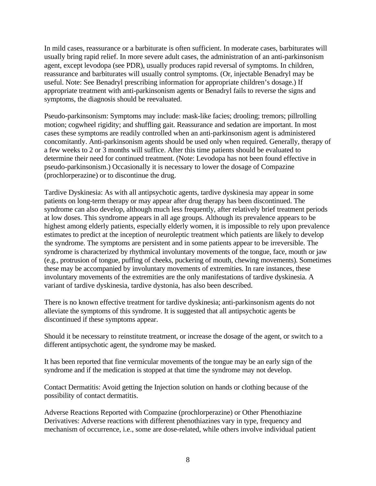In mild cases, reassurance or a barbiturate is often sufficient. In moderate cases, barbiturates will usually bring rapid relief. In more severe adult cases, the administration of an anti-parkinsonism agent, except levodopa (see PDR), usually produces rapid reversal of symptoms. In children, reassurance and barbiturates will usually control symptoms. (Or, injectable Benadryl may be useful. Note: See Benadryl prescribing information for appropriate children's dosage.) If appropriate treatment with anti-parkinsonism agents or Benadryl fails to reverse the signs and symptoms, the diagnosis should be reevaluated.

Pseudo-parkinsonism: Symptoms may include: mask-like facies; drooling; tremors; pillrolling motion; cogwheel rigidity; and shuffling gait. Reassurance and sedation are important. In most cases these symptoms are readily controlled when an anti-parkinsonism agent is administered concomitantly. Anti-parkinsonism agents should be used only when required. Generally, therapy of a few weeks to 2 or 3 months will suffice. After this time patients should be evaluated to determine their need for continued treatment. (Note: Levodopa has not been found effective in pseudo-parkinsonism.) Occasionally it is necessary to lower the dosage of Compazine (prochlorperazine) or to discontinue the drug.

Tardive Dyskinesia: As with all antipsychotic agents, tardive dyskinesia may appear in some patients on long-term therapy or may appear after drug therapy has been discontinued. The syndrome can also develop, although much less frequently, after relatively brief treatment periods at low doses. This syndrome appears in all age groups. Although its prevalence appears to be highest among elderly patients, especially elderly women, it is impossible to rely upon prevalence estimates to predict at the inception of neuroleptic treatment which patients are likely to develop the syndrome. The symptoms are persistent and in some patients appear to be irreversible. The syndrome is characterized by rhythmical involuntary movements of the tongue, face, mouth or jaw (e.g., protrusion of tongue, puffing of cheeks, puckering of mouth, chewing movements). Sometimes these may be accompanied by involuntary movements of extremities. In rare instances, these involuntary movements of the extremities are the only manifestations of tardive dyskinesia. A variant of tardive dyskinesia, tardive dystonia, has also been described.

There is no known effective treatment for tardive dyskinesia; anti-parkinsonism agents do not alleviate the symptoms of this syndrome. It is suggested that all antipsychotic agents be discontinued if these symptoms appear.

Should it be necessary to reinstitute treatment, or increase the dosage of the agent, or switch to a different antipsychotic agent, the syndrome may be masked.

It has been reported that fine vermicular movements of the tongue may be an early sign of the syndrome and if the medication is stopped at that time the syndrome may not develop.

Contact Dermatitis: Avoid getting the Injection solution on hands or clothing because of the possibility of contact dermatitis.

Adverse Reactions Reported with Compazine (prochlorperazine) or Other Phenothiazine Derivatives: Adverse reactions with different phenothiazines vary in type, frequency and mechanism of occurrence, i.e., some are dose-related, while others involve individual patient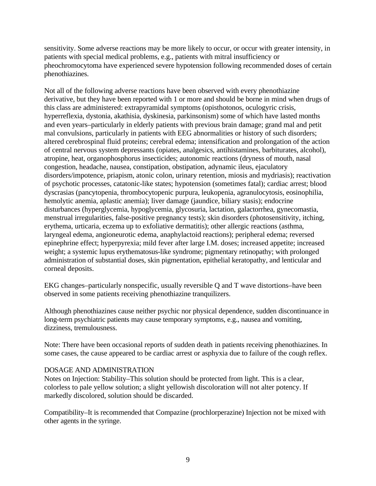sensitivity. Some adverse reactions may be more likely to occur, or occur with greater intensity, in patients with special medical problems, e.g., patients with mitral insufficiency or pheochromocytoma have experienced severe hypotension following recommended doses of certain phenothiazines.

Not all of the following adverse reactions have been observed with every phenothiazine derivative, but they have been reported with 1 or more and should be borne in mind when drugs of this class are administered: extrapyramidal symptoms (opisthotonos, oculogyric crisis, hyperreflexia, dystonia, akathisia, dyskinesia, parkinsonism) some of which have lasted months and even years–particularly in elderly patients with previous brain damage; grand mal and petit mal convulsions, particularly in patients with EEG abnormalities or history of such disorders; altered cerebrospinal fluid proteins; cerebral edema; intensification and prolongation of the action of central nervous system depressants (opiates, analgesics, antihistamines, barbiturates, alcohol), atropine, heat, organophosphorus insecticides; autonomic reactions (dryness of mouth, nasal congestion, headache, nausea, constipation, obstipation, adynamic ileus, ejaculatory disorders/impotence, priapism, atonic colon, urinary retention, miosis and mydriasis); reactivation of psychotic processes, catatonic-like states; hypotension (sometimes fatal); cardiac arrest; blood dyscrasias (pancytopenia, thrombocytopenic purpura, leukopenia, agranulocytosis, eosinophilia, hemolytic anemia, aplastic anemia); liver damage (jaundice, biliary stasis); endocrine disturbances (hyperglycemia, hypoglycemia, glycosuria, lactation, galactorrhea, gynecomastia, menstrual irregularities, false-positive pregnancy tests); skin disorders (photosensitivity, itching, erythema, urticaria, eczema up to exfoliative dermatitis); other allergic reactions (asthma, laryngeal edema, angioneurotic edema, anaphylactoid reactions); peripheral edema; reversed epinephrine effect; hyperpyrexia; mild fever after large I.M. doses; increased appetite; increased weight; a systemic lupus erythematosus-like syndrome; pigmentary retinopathy; with prolonged administration of substantial doses, skin pigmentation, epithelial keratopathy, and lenticular and corneal deposits.

EKG changes–particularly nonspecific, usually reversible Q and T wave distortions–have been observed in some patients receiving phenothiazine tranquilizers.

Although phenothiazines cause neither psychic nor physical dependence, sudden discontinuance in long-term psychiatric patients may cause temporary symptoms, e.g., nausea and vomiting, dizziness, tremulousness.

Note: There have been occasional reports of sudden death in patients receiving phenothiazines. In some cases, the cause appeared to be cardiac arrest or asphyxia due to failure of the cough reflex.

#### DOSAGE AND ADMINISTRATION

Notes on Injection: Stability–This solution should be protected from light. This is a clear, colorless to pale yellow solution; a slight yellowish discoloration will not alter potency. If markedly discolored, solution should be discarded.

Compatibility–It is recommended that Compazine (prochlorperazine) Injection not be mixed with other agents in the syringe.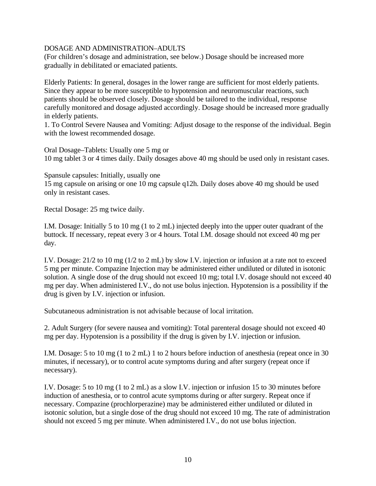#### DOSAGE AND ADMINISTRATION–ADULTS

(For children's dosage and administration, see below.) Dosage should be increased more gradually in debilitated or emaciated patients.

Elderly Patients: In general, dosages in the lower range are sufficient for most elderly patients. Since they appear to be more susceptible to hypotension and neuromuscular reactions, such patients should be observed closely. Dosage should be tailored to the individual, response carefully monitored and dosage adjusted accordingly. Dosage should be increased more gradually in elderly patients.

1. To Control Severe Nausea and Vomiting: Adjust dosage to the response of the individual. Begin with the lowest recommended dosage.

Oral Dosage–Tablets: Usually one 5 mg or 10 mg tablet 3 or 4 times daily. Daily dosages above 40 mg should be used only in resistant cases.

Spansule capsules: Initially, usually one 15 mg capsule on arising or one 10 mg capsule q12h. Daily doses above 40 mg should be used only in resistant cases.

Rectal Dosage: 25 mg twice daily.

I.M. Dosage: Initially 5 to 10 mg (1 to 2 mL) injected deeply into the upper outer quadrant of the buttock. If necessary, repeat every 3 or 4 hours. Total I.M. dosage should not exceed 40 mg per day.

I.V. Dosage: 21/2 to 10 mg (1/2 to 2 mL) by slow I.V. injection or infusion at a rate not to exceed 5 mg per minute. Compazine Injection may be administered either undiluted or diluted in isotonic solution. A single dose of the drug should not exceed 10 mg; total I.V. dosage should not exceed 40 mg per day. When administered I.V., do not use bolus injection. Hypotension is a possibility if the drug is given by I.V. injection or infusion.

Subcutaneous administration is not advisable because of local irritation.

2. Adult Surgery (for severe nausea and vomiting): Total parenteral dosage should not exceed 40 mg per day. Hypotension is a possibility if the drug is given by I.V. injection or infusion.

I.M. Dosage: 5 to 10 mg (1 to 2 mL) 1 to 2 hours before induction of anesthesia (repeat once in 30 minutes, if necessary), or to control acute symptoms during and after surgery (repeat once if necessary).

I.V. Dosage: 5 to 10 mg (1 to 2 mL) as a slow I.V. injection or infusion 15 to 30 minutes before induction of anesthesia, or to control acute symptoms during or after surgery. Repeat once if necessary. Compazine (prochlorperazine) may be administered either undiluted or diluted in isotonic solution, but a single dose of the drug should not exceed 10 mg. The rate of administration should not exceed 5 mg per minute. When administered I.V., do not use bolus injection.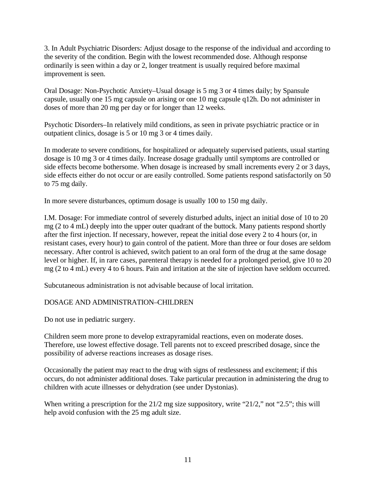3. In Adult Psychiatric Disorders: Adjust dosage to the response of the individual and according to the severity of the condition. Begin with the lowest recommended dose. Although response ordinarily is seen within a day or 2, longer treatment is usually required before maximal improvement is seen.

Oral Dosage: Non-Psychotic Anxiety–Usual dosage is 5 mg 3 or 4 times daily; by Spansule capsule, usually one 15 mg capsule on arising or one 10 mg capsule q12h. Do not administer in doses of more than 20 mg per day or for longer than 12 weeks.

Psychotic Disorders–In relatively mild conditions, as seen in private psychiatric practice or in outpatient clinics, dosage is 5 or 10 mg 3 or 4 times daily.

In moderate to severe conditions, for hospitalized or adequately supervised patients, usual starting dosage is 10 mg 3 or 4 times daily. Increase dosage gradually until symptoms are controlled or side effects become bothersome. When dosage is increased by small increments every 2 or 3 days, side effects either do not occur or are easily controlled. Some patients respond satisfactorily on 50 to 75 mg daily.

In more severe disturbances, optimum dosage is usually 100 to 150 mg daily.

I.M. Dosage: For immediate control of severely disturbed adults, inject an initial dose of 10 to 20 mg (2 to 4 mL) deeply into the upper outer quadrant of the buttock. Many patients respond shortly after the first injection. If necessary, however, repeat the initial dose every 2 to 4 hours (or, in resistant cases, every hour) to gain control of the patient. More than three or four doses are seldom necessary. After control is achieved, switch patient to an oral form of the drug at the same dosage level or higher. If, in rare cases, parenteral therapy is needed for a prolonged period, give 10 to 20 mg (2 to 4 mL) every 4 to 6 hours. Pain and irritation at the site of injection have seldom occurred.

Subcutaneous administration is not advisable because of local irritation.

#### DOSAGE AND ADMINISTRATION–CHILDREN

Do not use in pediatric surgery.

Children seem more prone to develop extrapyramidal reactions, even on moderate doses. Therefore, use lowest effective dosage. Tell parents not to exceed prescribed dosage, since the possibility of adverse reactions increases as dosage rises.

Occasionally the patient may react to the drug with signs of restlessness and excitement; if this occurs, do not administer additional doses. Take particular precaution in administering the drug to children with acute illnesses or dehydration (see under Dystonias).

When writing a prescription for the 21/2 mg size suppository, write "21/2," not "2.5"; this will help avoid confusion with the 25 mg adult size.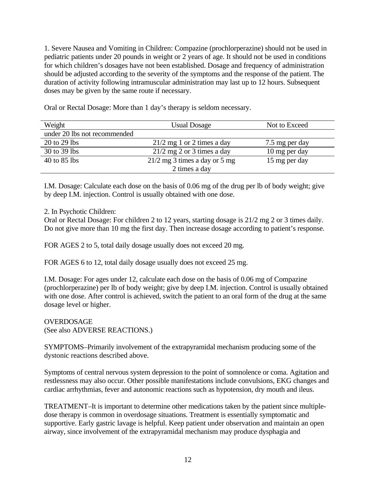1. Severe Nausea and Vomiting in Children: Compazine (prochlorperazine) should not be used in pediatric patients under 20 pounds in weight or 2 years of age. It should not be used in conditions for which children's dosages have not been established. Dosage and frequency of administration should be adjusted according to the severity of the symptoms and the response of the patient. The duration of activity following intramuscular administration may last up to 12 hours. Subsequent doses may be given by the same route if necessary.

| Weight                       | <b>Usual Dosage</b>             | Not to Exceed  |
|------------------------------|---------------------------------|----------------|
| under 20 lbs not recommended |                                 |                |
| 20 to 29 lbs                 | $21/2$ mg 1 or 2 times a day    | 7.5 mg per day |
| 30 to 39 lbs                 | $21/2$ mg 2 or 3 times a day    | 10 mg per day  |
| 40 to 85 lbs                 | $21/2$ mg 3 times a day or 5 mg | 15 mg per day  |
|                              | 2 times a day                   |                |

Oral or Rectal Dosage: More than 1 day's therapy is seldom necessary.

I.M. Dosage: Calculate each dose on the basis of 0.06 mg of the drug per lb of body weight; give by deep I.M. injection. Control is usually obtained with one dose.

2. In Psychotic Children:

Oral or Rectal Dosage: For children 2 to 12 years, starting dosage is 21/2 mg 2 or 3 times daily. Do not give more than 10 mg the first day. Then increase dosage according to patient's response.

FOR AGES 2 to 5, total daily dosage usually does not exceed 20 mg.

FOR AGES 6 to 12, total daily dosage usually does not exceed 25 mg.

I.M. Dosage: For ages under 12, calculate each dose on the basis of 0.06 mg of Compazine (prochlorperazine) per lb of body weight; give by deep I.M. injection. Control is usually obtained with one dose. After control is achieved, switch the patient to an oral form of the drug at the same dosage level or higher.

**OVERDOSAGE** (See also ADVERSE REACTIONS.)

SYMPTOMS–Primarily involvement of the extrapyramidal mechanism producing some of the dystonic reactions described above.

Symptoms of central nervous system depression to the point of somnolence or coma. Agitation and restlessness may also occur. Other possible manifestations include convulsions, EKG changes and cardiac arrhythmias, fever and autonomic reactions such as hypotension, dry mouth and ileus.

TREATMENT–It is important to determine other medications taken by the patient since multipledose therapy is common in overdosage situations. Treatment is essentially symptomatic and supportive. Early gastric lavage is helpful. Keep patient under observation and maintain an open airway, since involvement of the extrapyramidal mechanism may produce dysphagia and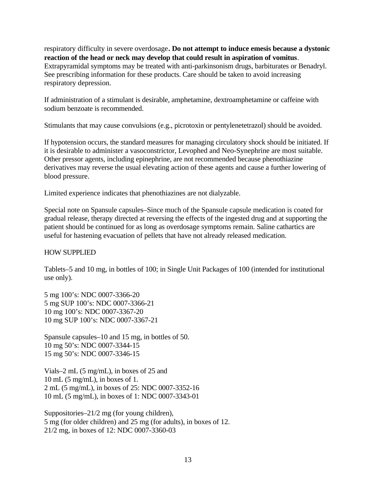respiratory difficulty in severe overdosage**. Do not attempt to induce emesis because a dystonic reaction of the head or neck may develop that could result in aspiration of vomitus**. Extrapyramidal symptoms may be treated with anti-parkinsonism drugs, barbiturates or Benadryl. See prescribing information for these products. Care should be taken to avoid increasing respiratory depression.

If administration of a stimulant is desirable, amphetamine, dextroamphetamine or caffeine with sodium benzoate is recommended.

Stimulants that may cause convulsions (e.g., picrotoxin or pentylenetetrazol) should be avoided.

If hypotension occurs, the standard measures for managing circulatory shock should be initiated. If it is desirable to administer a vasoconstrictor, Levophed and Neo-Synephrine are most suitable. Other pressor agents, including epinephrine, are not recommended because phenothiazine derivatives may reverse the usual elevating action of these agents and cause a further lowering of blood pressure.

Limited experience indicates that phenothiazines are not dialyzable.

Special note on Spansule capsules–Since much of the Spansule capsule medication is coated for gradual release, therapy directed at reversing the effects of the ingested drug and at supporting the patient should be continued for as long as overdosage symptoms remain. Saline cathartics are useful for hastening evacuation of pellets that have not already released medication.

#### HOW SUPPLIED

Tablets–5 and 10 mg, in bottles of 100; in Single Unit Packages of 100 (intended for institutional use only).

5 mg 100's: NDC 0007-3366-20 5 mg SUP 100's: NDC 0007-3366-21 10 mg 100's: NDC 0007-3367-20 10 mg SUP 100's: NDC 0007-3367-21

Spansule capsules–10 and 15 mg, in bottles of 50. 10 mg 50's: NDC 0007-3344-15 15 mg 50's: NDC 0007-3346-15

Vials–2 mL (5 mg/mL), in boxes of 25 and 10 mL (5 mg/mL), in boxes of 1. 2 mL (5 mg/mL), in boxes of 25: NDC 0007-3352-16 10 mL (5 mg/mL), in boxes of 1: NDC 0007-3343-01

Suppositories–21/2 mg (for young children), 5 mg (for older children) and 25 mg (for adults), in boxes of 12. 21/2 mg, in boxes of 12: NDC 0007-3360-03